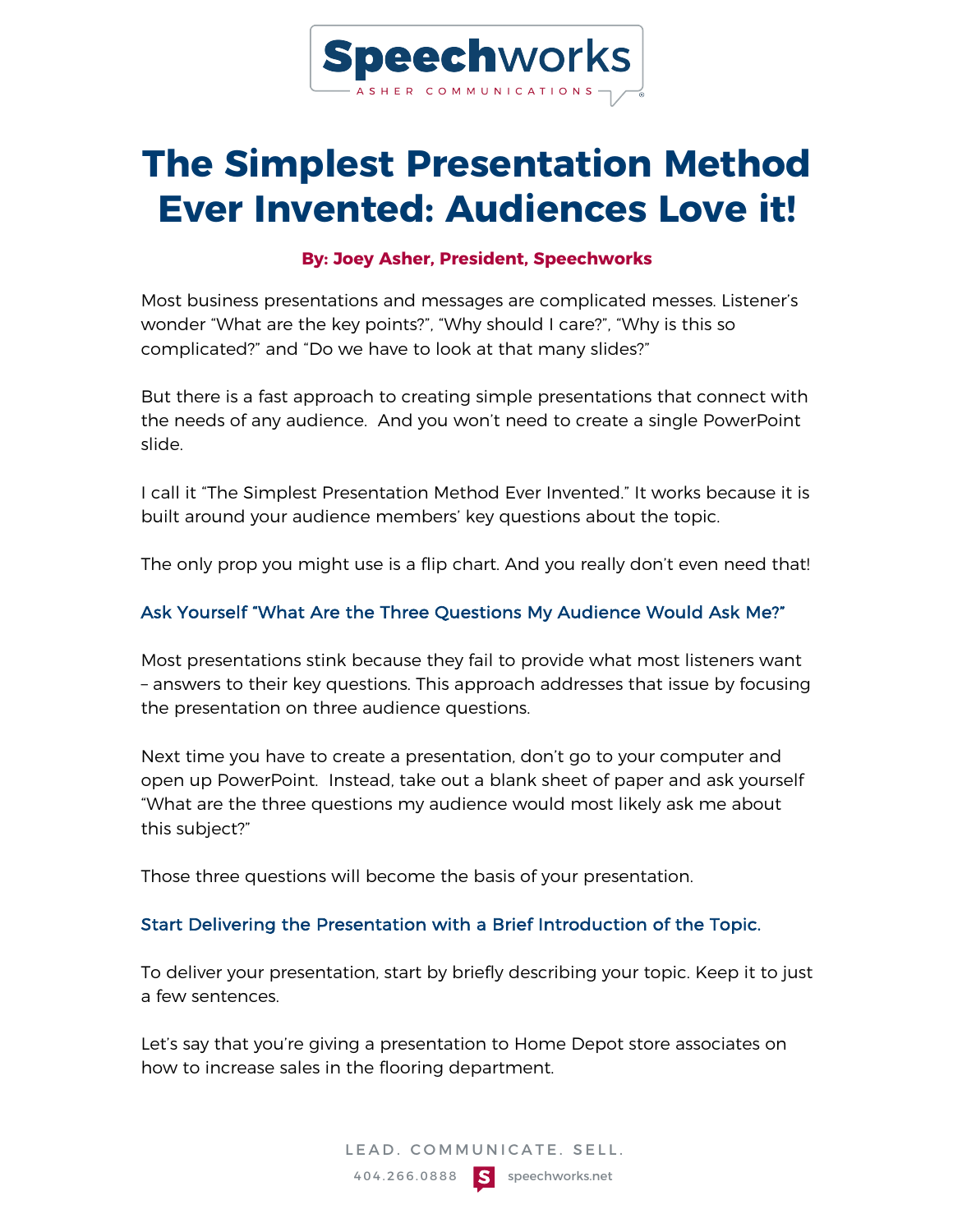

# **The Simplest Presentation Method Ever Invented: Audiences Love it!**

#### **By: Joey Asher, President, Speechworks**

Most business presentations and messages are complicated messes. Listener's wonder "What are the key points?", "Why should I care?", "Why is this so complicated?" and "Do we have to look at that many slides?"

But there is a fast approach to creating simple presentations that connect with the needs of any audience. And you won't need to create a single PowerPoint slide.

I call it "The Simplest Presentation Method Ever Invented." It works because it is built around your audience members' key questions about the topic.

The only prop you might use is a flip chart. And you really don't even need that!

## Ask Yourself "What Are the Three Questions My Audience Would Ask Me?"

Most presentations stink because they fail to provide what most listeners want – answers to their key questions. This approach addresses that issue by focusing the presentation on three audience questions.

Next time you have to create a presentation, don't go to your computer and open up PowerPoint. Instead, take out a blank sheet of paper and ask yourself "What are the three questions my audience would most likely ask me about this subject?"

Those three questions will become the basis of your presentation.

## Start Delivering the Presentation with a Brief Introduction of the Topic.

To deliver your presentation, start by briefly describing your topic. Keep it to just a few sentences.

Let's say that you're giving a presentation to Home Depot store associates on how to increase sales in the flooring department.

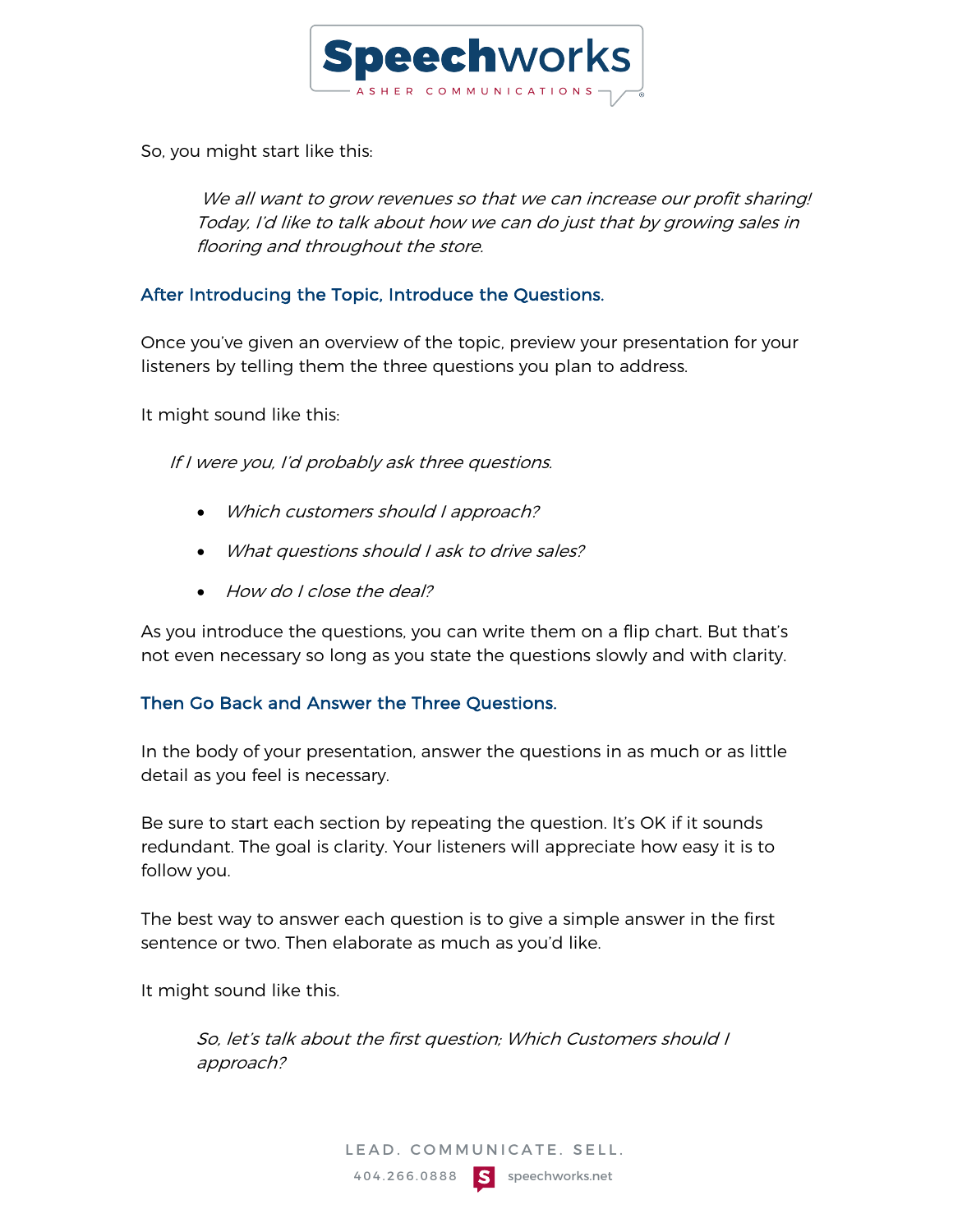

So, you might start like this:

We all want to grow revenues so that we can increase our profit sharing! Today, I'd like to talk about how we can do just that by growing sales in flooring and throughout the store.

# After Introducing the Topic, Introduce the Questions.

Once you've given an overview of the topic, preview your presentation for your listeners by telling them the three questions you plan to address.

It might sound like this:

If I were you, I'd probably ask three questions.

- Which customers should I approach?
- What questions should I ask to drive sales?
- How do I close the deal?

As you introduce the questions, you can write them on a flip chart. But that's not even necessary so long as you state the questions slowly and with clarity.

## Then Go Back and Answer the Three Questions.

In the body of your presentation, answer the questions in as much or as little detail as you feel is necessary.

Be sure to start each section by repeating the question. It's OK if it sounds redundant. The goal is clarity. Your listeners will appreciate how easy it is to follow you.

The best way to answer each question is to give a simple answer in the first sentence or two. Then elaborate as much as you'd like.

It might sound like this.

So, let's talk about the first question; Which Customers should I approach?